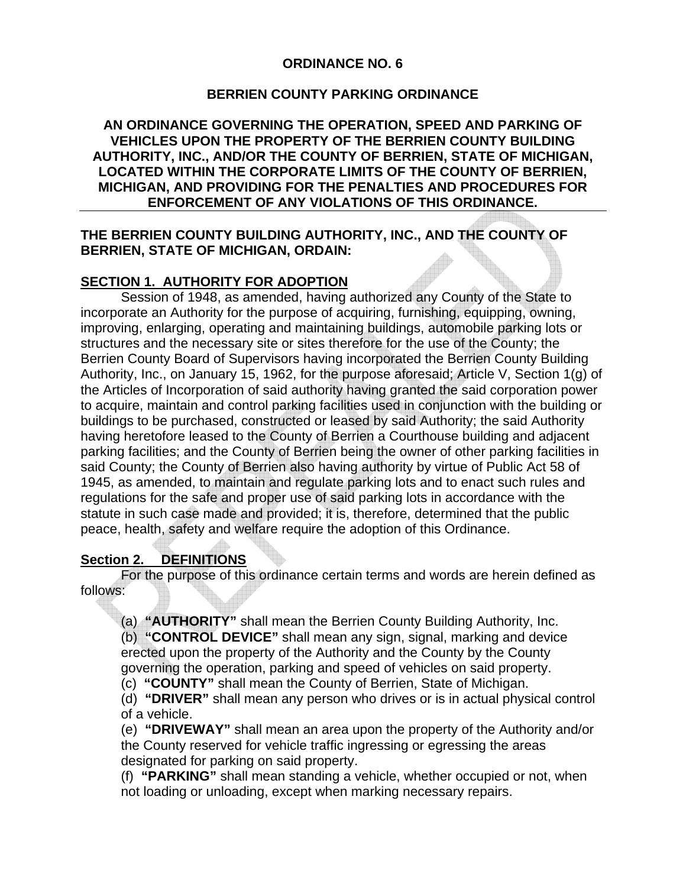#### **ORDINANCE NO. 6**

#### **BERRIEN COUNTY PARKING ORDINANCE**

**AN ORDINANCE GOVERNING THE OPERATION, SPEED AND PARKING OF VEHICLES UPON THE PROPERTY OF THE BERRIEN COUNTY BUILDING AUTHORITY, INC., AND/OR THE COUNTY OF BERRIEN, STATE OF MICHIGAN, LOCATED WITHIN THE CORPORATE LIMITS OF THE COUNTY OF BERRIEN, MICHIGAN, AND PROVIDING FOR THE PENALTIES AND PROCEDURES FOR ENFORCEMENT OF ANY VIOLATIONS OF THIS ORDINANCE.** 

### **THE BERRIEN COUNTY BUILDING AUTHORITY, INC., AND THE COUNTY OF BERRIEN, STATE OF MICHIGAN, ORDAIN:**

#### **SECTION 1. AUTHORITY FOR ADOPTION**

Session of 1948, as amended, having authorized any County of the State to incorporate an Authority for the purpose of acquiring, furnishing, equipping, owning, improving, enlarging, operating and maintaining buildings, automobile parking lots or structures and the necessary site or sites therefore for the use of the County; the Berrien County Board of Supervisors having incorporated the Berrien County Building Authority, Inc., on January 15, 1962, for the purpose aforesaid; Article V, Section 1(g) of the Articles of Incorporation of said authority having granted the said corporation power to acquire, maintain and control parking facilities used in conjunction with the building or buildings to be purchased, constructed or leased by said Authority; the said Authority having heretofore leased to the County of Berrien a Courthouse building and adjacent parking facilities; and the County of Berrien being the owner of other parking facilities in said County; the County of Berrien also having authority by virtue of Public Act 58 of 1945, as amended, to maintain and regulate parking lots and to enact such rules and regulations for the safe and proper use of said parking lots in accordance with the statute in such case made and provided; it is, therefore, determined that the public peace, health, safety and welfare require the adoption of this Ordinance.

#### **Section 2. DEFINITIONS**

For the purpose of this ordinance certain terms and words are herein defined as follows:

(a) **"AUTHORITY"** shall mean the Berrien County Building Authority, Inc. (b) **"CONTROL DEVICE"** shall mean any sign, signal, marking and device erected upon the property of the Authority and the County by the County governing the operation, parking and speed of vehicles on said property.

(c) **"COUNTY"** shall mean the County of Berrien, State of Michigan.

(d) **"DRIVER"** shall mean any person who drives or is in actual physical control of a vehicle.

(e) **"DRIVEWAY"** shall mean an area upon the property of the Authority and/or the County reserved for vehicle traffic ingressing or egressing the areas designated for parking on said property.

(f) **"PARKING"** shall mean standing a vehicle, whether occupied or not, when not loading or unloading, except when marking necessary repairs.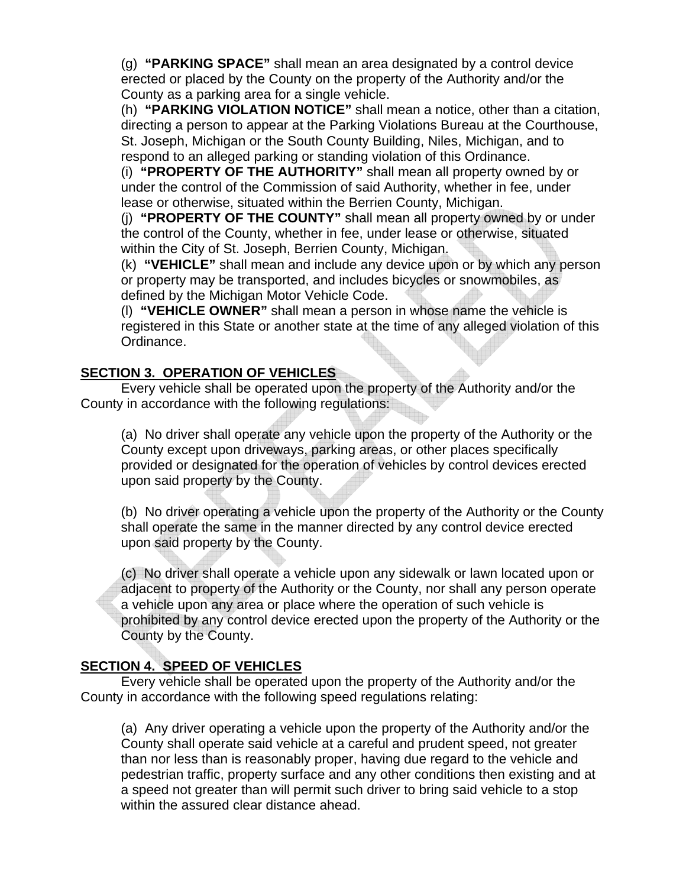(g) **"PARKING SPACE"** shall mean an area designated by a control device erected or placed by the County on the property of the Authority and/or the County as a parking area for a single vehicle.

(h) **"PARKING VIOLATION NOTICE"** shall mean a notice, other than a citation, directing a person to appear at the Parking Violations Bureau at the Courthouse, St. Joseph, Michigan or the South County Building, Niles, Michigan, and to respond to an alleged parking or standing violation of this Ordinance.

(i) **"PROPERTY OF THE AUTHORITY"** shall mean all property owned by or under the control of the Commission of said Authority, whether in fee, under lease or otherwise, situated within the Berrien County, Michigan.

(j) **"PROPERTY OF THE COUNTY"** shall mean all property owned by or under the control of the County, whether in fee, under lease or otherwise, situated within the City of St. Joseph, Berrien County, Michigan.

(k) **"VEHICLE"** shall mean and include any device upon or by which any person or property may be transported, and includes bicycles or snowmobiles, as defined by the Michigan Motor Vehicle Code.

(l) **"VEHICLE OWNER"** shall mean a person in whose name the vehicle is registered in this State or another state at the time of any alleged violation of this Ordinance.

## **SECTION 3. OPERATION OF VEHICLES**

Every vehicle shall be operated upon the property of the Authority and/or the County in accordance with the following regulations:

(a) No driver shall operate any vehicle upon the property of the Authority or the County except upon driveways, parking areas, or other places specifically provided or designated for the operation of vehicles by control devices erected upon said property by the County.

(b) No driver operating a vehicle upon the property of the Authority or the County shall operate the same in the manner directed by any control device erected upon said property by the County.

(c) No driver shall operate a vehicle upon any sidewalk or lawn located upon or adjacent to property of the Authority or the County, nor shall any person operate a vehicle upon any area or place where the operation of such vehicle is prohibited by any control device erected upon the property of the Authority or the County by the County.

### **SECTION 4. SPEED OF VEHICLES**

Every vehicle shall be operated upon the property of the Authority and/or the County in accordance with the following speed regulations relating:

(a) Any driver operating a vehicle upon the property of the Authority and/or the County shall operate said vehicle at a careful and prudent speed, not greater than nor less than is reasonably proper, having due regard to the vehicle and pedestrian traffic, property surface and any other conditions then existing and at a speed not greater than will permit such driver to bring said vehicle to a stop within the assured clear distance ahead.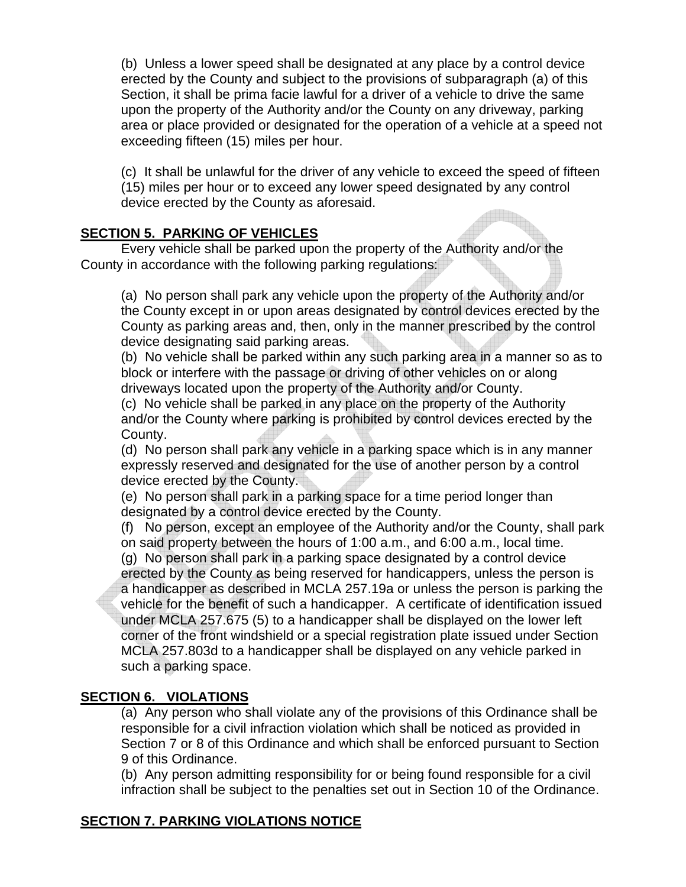(b) Unless a lower speed shall be designated at any place by a control device erected by the County and subject to the provisions of subparagraph (a) of this Section, it shall be prima facie lawful for a driver of a vehicle to drive the same upon the property of the Authority and/or the County on any driveway, parking area or place provided or designated for the operation of a vehicle at a speed not exceeding fifteen (15) miles per hour.

(c) It shall be unlawful for the driver of any vehicle to exceed the speed of fifteen (15) miles per hour or to exceed any lower speed designated by any control device erected by the County as aforesaid.

## **SECTION 5. PARKING OF VEHICLES**

Every vehicle shall be parked upon the property of the Authority and/or the County in accordance with the following parking regulations:

(a) No person shall park any vehicle upon the property of the Authority and/or the County except in or upon areas designated by control devices erected by the County as parking areas and, then, only in the manner prescribed by the control device designating said parking areas.

(b) No vehicle shall be parked within any such parking area in a manner so as to block or interfere with the passage or driving of other vehicles on or along driveways located upon the property of the Authority and/or County.

(c) No vehicle shall be parked in any place on the property of the Authority and/or the County where parking is prohibited by control devices erected by the County.

(d) No person shall park any vehicle in a parking space which is in any manner expressly reserved and designated for the use of another person by a control device erected by the County.

(e) No person shall park in a parking space for a time period longer than designated by a control device erected by the County.

(f) No person, except an employee of the Authority and/or the County, shall park on said property between the hours of 1:00 a.m., and 6:00 a.m., local time.

(g) No person shall park in a parking space designated by a control device erected by the County as being reserved for handicappers, unless the person is a handicapper as described in MCLA 257.19a or unless the person is parking the vehicle for the benefit of such a handicapper. A certificate of identification issued under MCLA 257.675 (5) to a handicapper shall be displayed on the lower left corner of the front windshield or a special registration plate issued under Section MCLA 257.803d to a handicapper shall be displayed on any vehicle parked in such a parking space.

### **SECTION 6. VIOLATIONS**

(a) Any person who shall violate any of the provisions of this Ordinance shall be responsible for a civil infraction violation which shall be noticed as provided in Section 7 or 8 of this Ordinance and which shall be enforced pursuant to Section 9 of this Ordinance.

(b) Any person admitting responsibility for or being found responsible for a civil infraction shall be subject to the penalties set out in Section 10 of the Ordinance.

# **SECTION 7. PARKING VIOLATIONS NOTICE**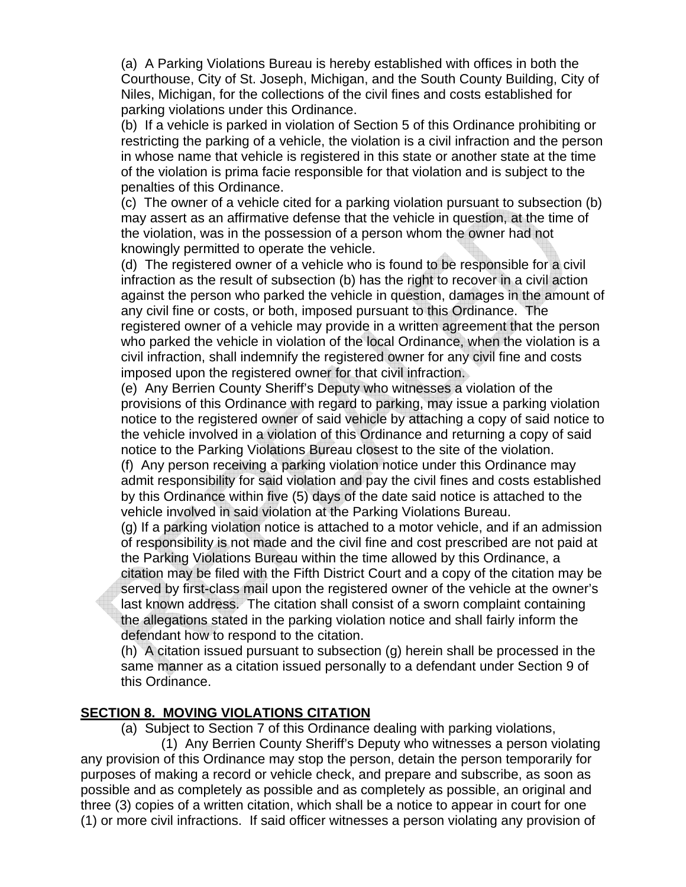(a) A Parking Violations Bureau is hereby established with offices in both the Courthouse, City of St. Joseph, Michigan, and the South County Building, City of Niles, Michigan, for the collections of the civil fines and costs established for parking violations under this Ordinance.

(b) If a vehicle is parked in violation of Section 5 of this Ordinance prohibiting or restricting the parking of a vehicle, the violation is a civil infraction and the person in whose name that vehicle is registered in this state or another state at the time of the violation is prima facie responsible for that violation and is subject to the penalties of this Ordinance.

(c) The owner of a vehicle cited for a parking violation pursuant to subsection (b) may assert as an affirmative defense that the vehicle in question, at the time of the violation, was in the possession of a person whom the owner had not knowingly permitted to operate the vehicle.

(d) The registered owner of a vehicle who is found to be responsible for a civil infraction as the result of subsection (b) has the right to recover in a civil action against the person who parked the vehicle in question, damages in the amount of any civil fine or costs, or both, imposed pursuant to this Ordinance. The registered owner of a vehicle may provide in a written agreement that the person who parked the vehicle in violation of the local Ordinance, when the violation is a civil infraction, shall indemnify the registered owner for any civil fine and costs imposed upon the registered owner for that civil infraction.

(e) Any Berrien County Sheriff's Deputy who witnesses a violation of the provisions of this Ordinance with regard to parking, may issue a parking violation notice to the registered owner of said vehicle by attaching a copy of said notice to the vehicle involved in a violation of this Ordinance and returning a copy of said notice to the Parking Violations Bureau closest to the site of the violation.

(f) Any person receiving a parking violation notice under this Ordinance may admit responsibility for said violation and pay the civil fines and costs established by this Ordinance within five (5) days of the date said notice is attached to the vehicle involved in said violation at the Parking Violations Bureau.

(g) If a parking violation notice is attached to a motor vehicle, and if an admission of responsibility is not made and the civil fine and cost prescribed are not paid at the Parking Violations Bureau within the time allowed by this Ordinance, a

citation may be filed with the Fifth District Court and a copy of the citation may be served by first-class mail upon the registered owner of the vehicle at the owner's last known address. The citation shall consist of a sworn complaint containing the allegations stated in the parking violation notice and shall fairly inform the defendant how to respond to the citation.

(h) A citation issued pursuant to subsection (g) herein shall be processed in the same manner as a citation issued personally to a defendant under Section 9 of this Ordinance.

#### **SECTION 8. MOVING VIOLATIONS CITATION**

(a) Subject to Section 7 of this Ordinance dealing with parking violations,

 (1) Any Berrien County Sheriff's Deputy who witnesses a person violating any provision of this Ordinance may stop the person, detain the person temporarily for purposes of making a record or vehicle check, and prepare and subscribe, as soon as possible and as completely as possible and as completely as possible, an original and three (3) copies of a written citation, which shall be a notice to appear in court for one (1) or more civil infractions. If said officer witnesses a person violating any provision of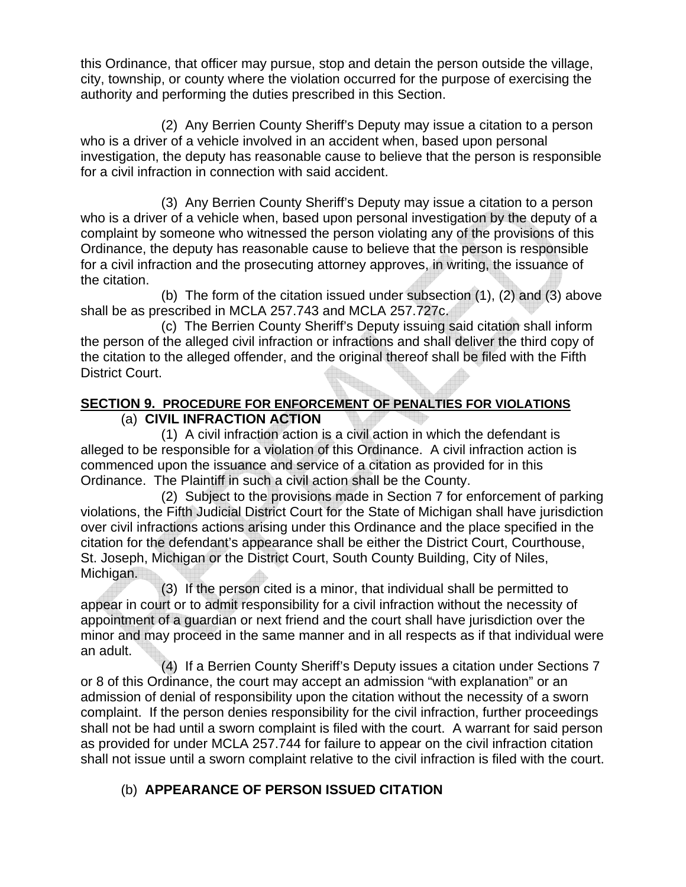this Ordinance, that officer may pursue, stop and detain the person outside the village, city, township, or county where the violation occurred for the purpose of exercising the authority and performing the duties prescribed in this Section.

 (2) Any Berrien County Sheriff's Deputy may issue a citation to a person who is a driver of a vehicle involved in an accident when, based upon personal investigation, the deputy has reasonable cause to believe that the person is responsible for a civil infraction in connection with said accident.

 (3) Any Berrien County Sheriff's Deputy may issue a citation to a person who is a driver of a vehicle when, based upon personal investigation by the deputy of a complaint by someone who witnessed the person violating any of the provisions of this Ordinance, the deputy has reasonable cause to believe that the person is responsible for a civil infraction and the prosecuting attorney approves, in writing, the issuance of the citation.

 (b) The form of the citation issued under subsection (1), (2) and (3) above shall be as prescribed in MCLA 257.743 and MCLA 257.727c.

 (c) The Berrien County Sheriff's Deputy issuing said citation shall inform the person of the alleged civil infraction or infractions and shall deliver the third copy of the citation to the alleged offender, and the original thereof shall be filed with the Fifth District Court.

### **SECTION 9. PROCEDURE FOR ENFORCEMENT OF PENALTIES FOR VIOLATIONS** (a) **CIVIL INFRACTION ACTION**

 (1) A civil infraction action is a civil action in which the defendant is alleged to be responsible for a violation of this Ordinance. A civil infraction action is commenced upon the issuance and service of a citation as provided for in this Ordinance. The Plaintiff in such a civil action shall be the County.

 (2) Subject to the provisions made in Section 7 for enforcement of parking violations, the Fifth Judicial District Court for the State of Michigan shall have jurisdiction over civil infractions actions arising under this Ordinance and the place specified in the citation for the defendant's appearance shall be either the District Court, Courthouse, St. Joseph, Michigan or the District Court, South County Building, City of Niles, Michigan.

 (3) If the person cited is a minor, that individual shall be permitted to appear in court or to admit responsibility for a civil infraction without the necessity of appointment of a guardian or next friend and the court shall have jurisdiction over the minor and may proceed in the same manner and in all respects as if that individual were an adult.

 (4) If a Berrien County Sheriff's Deputy issues a citation under Sections 7 or 8 of this Ordinance, the court may accept an admission "with explanation" or an admission of denial of responsibility upon the citation without the necessity of a sworn complaint. If the person denies responsibility for the civil infraction, further proceedings shall not be had until a sworn complaint is filed with the court. A warrant for said person as provided for under MCLA 257.744 for failure to appear on the civil infraction citation shall not issue until a sworn complaint relative to the civil infraction is filed with the court.

# (b) **APPEARANCE OF PERSON ISSUED CITATION**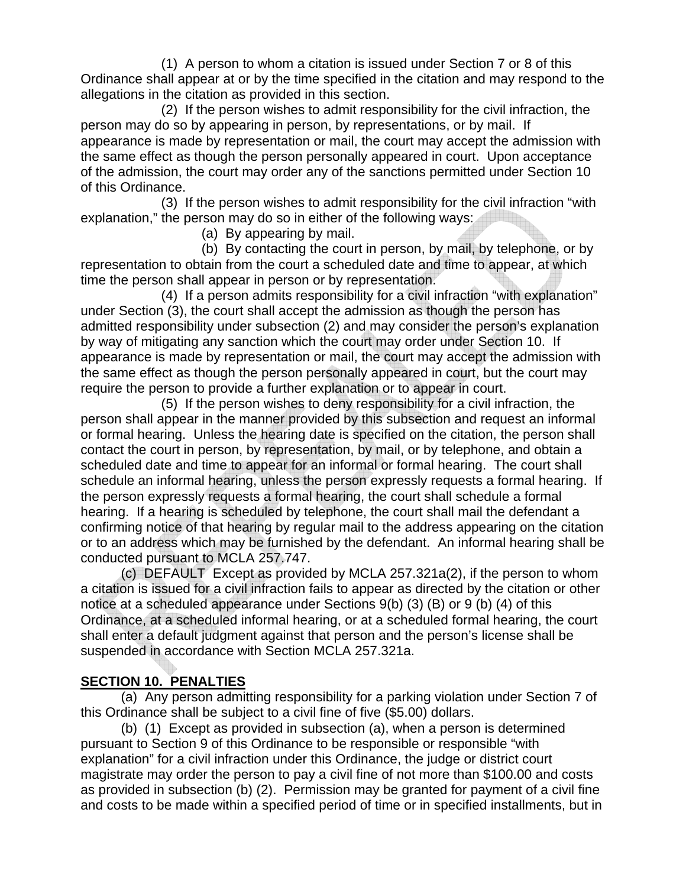(1) A person to whom a citation is issued under Section 7 or 8 of this Ordinance shall appear at or by the time specified in the citation and may respond to the allegations in the citation as provided in this section.

 (2) If the person wishes to admit responsibility for the civil infraction, the person may do so by appearing in person, by representations, or by mail. If appearance is made by representation or mail, the court may accept the admission with the same effect as though the person personally appeared in court. Upon acceptance of the admission, the court may order any of the sanctions permitted under Section 10 of this Ordinance.

 (3) If the person wishes to admit responsibility for the civil infraction "with explanation," the person may do so in either of the following ways:

(a) By appearing by mail.

 (b) By contacting the court in person, by mail, by telephone, or by representation to obtain from the court a scheduled date and time to appear, at which time the person shall appear in person or by representation.

 (4) If a person admits responsibility for a civil infraction "with explanation" under Section (3), the court shall accept the admission as though the person has admitted responsibility under subsection (2) and may consider the person's explanation by way of mitigating any sanction which the court may order under Section 10. If appearance is made by representation or mail, the court may accept the admission with the same effect as though the person personally appeared in court, but the court may require the person to provide a further explanation or to appear in court.

 (5) If the person wishes to deny responsibility for a civil infraction, the person shall appear in the manner provided by this subsection and request an informal or formal hearing. Unless the hearing date is specified on the citation, the person shall contact the court in person, by representation, by mail, or by telephone, and obtain a scheduled date and time to appear for an informal or formal hearing. The court shall schedule an informal hearing, unless the person expressly requests a formal hearing. If the person expressly requests a formal hearing, the court shall schedule a formal hearing. If a hearing is scheduled by telephone, the court shall mail the defendant a confirming notice of that hearing by regular mail to the address appearing on the citation or to an address which may be furnished by the defendant. An informal hearing shall be conducted pursuant to MCLA 257.747.

 (c) DEFAULT Except as provided by MCLA 257.321a(2), if the person to whom a citation is issued for a civil infraction fails to appear as directed by the citation or other notice at a scheduled appearance under Sections 9(b) (3) (B) or 9 (b) (4) of this Ordinance, at a scheduled informal hearing, or at a scheduled formal hearing, the court shall enter a default judgment against that person and the person's license shall be suspended in accordance with Section MCLA 257.321a.

# **SECTION 10. PENALTIES**

 (a) Any person admitting responsibility for a parking violation under Section 7 of this Ordinance shall be subject to a civil fine of five (\$5.00) dollars.

 (b) (1) Except as provided in subsection (a), when a person is determined pursuant to Section 9 of this Ordinance to be responsible or responsible "with explanation" for a civil infraction under this Ordinance, the judge or district court magistrate may order the person to pay a civil fine of not more than \$100.00 and costs as provided in subsection (b) (2). Permission may be granted for payment of a civil fine and costs to be made within a specified period of time or in specified installments, but in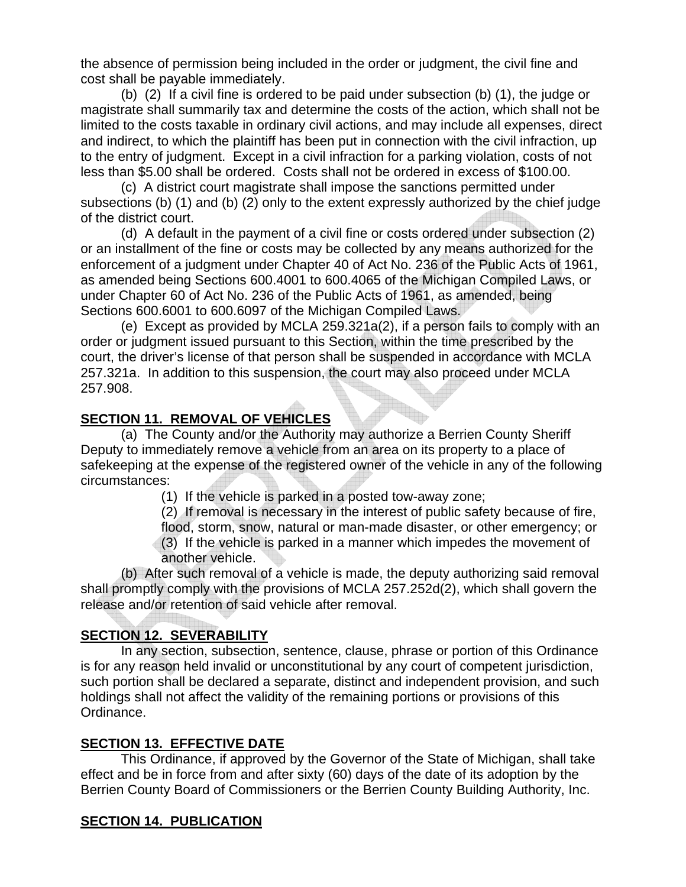the absence of permission being included in the order or judgment, the civil fine and cost shall be payable immediately.

 (b) (2) If a civil fine is ordered to be paid under subsection (b) (1), the judge or magistrate shall summarily tax and determine the costs of the action, which shall not be limited to the costs taxable in ordinary civil actions, and may include all expenses, direct and indirect, to which the plaintiff has been put in connection with the civil infraction, up to the entry of judgment. Except in a civil infraction for a parking violation, costs of not less than \$5.00 shall be ordered. Costs shall not be ordered in excess of \$100.00.

 (c) A district court magistrate shall impose the sanctions permitted under subsections (b) (1) and (b) (2) only to the extent expressly authorized by the chief judge of the district court.

 (d) A default in the payment of a civil fine or costs ordered under subsection (2) or an installment of the fine or costs may be collected by any means authorized for the enforcement of a judgment under Chapter 40 of Act No. 236 of the Public Acts of 1961, as amended being Sections 600.4001 to 600.4065 of the Michigan Compiled Laws, or under Chapter 60 of Act No. 236 of the Public Acts of 1961, as amended, being Sections 600.6001 to 600.6097 of the Michigan Compiled Laws.

 (e) Except as provided by MCLA 259.321a(2), if a person fails to comply with an order or judgment issued pursuant to this Section, within the time prescribed by the court, the driver's license of that person shall be suspended in accordance with MCLA 257.321a. In addition to this suspension, the court may also proceed under MCLA 257.908. 

### **SECTION 11. REMOVAL OF VEHICLES**

 (a) The County and/or the Authority may authorize a Berrien County Sheriff Deputy to immediately remove a vehicle from an area on its property to a place of safekeeping at the expense of the registered owner of the vehicle in any of the following circumstances:

- (1) If the vehicle is parked in a posted tow-away zone;
- (2) If removal is necessary in the interest of public safety because of fire,
- flood, storm, snow, natural or man-made disaster, or other emergency; or (3) If the vehicle is parked in a manner which impedes the movement of
- another vehicle.

 (b) After such removal of a vehicle is made, the deputy authorizing said removal shall promptly comply with the provisions of MCLA 257.252d(2), which shall govern the release and/or retention of said vehicle after removal.

# **SECTION 12. SEVERABILITY**

 In any section, subsection, sentence, clause, phrase or portion of this Ordinance is for any reason held invalid or unconstitutional by any court of competent jurisdiction, such portion shall be declared a separate, distinct and independent provision, and such holdings shall not affect the validity of the remaining portions or provisions of this Ordinance.

### **SECTION 13. EFFECTIVE DATE**

 This Ordinance, if approved by the Governor of the State of Michigan, shall take effect and be in force from and after sixty (60) days of the date of its adoption by the Berrien County Board of Commissioners or the Berrien County Building Authority, Inc.

# **SECTION 14. PUBLICATION**